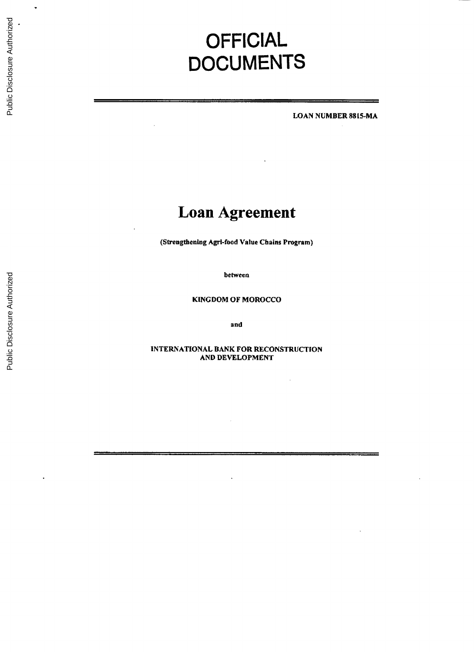# **OFFICIAL DOCUMENTS**

**LOAN NUMBER 8815-MA**

# **Loan Agreement**

(Strengthening Agri-food Value Chains Program)

between

**KINGDOM** OF MOROCCO

and

**INTERNATIONAL BANK** FOR **RECONSTRUCTION AND DEVELOPMENT**

 $\bar{\gamma}$ 

 $\ddot{\phantom{0}}$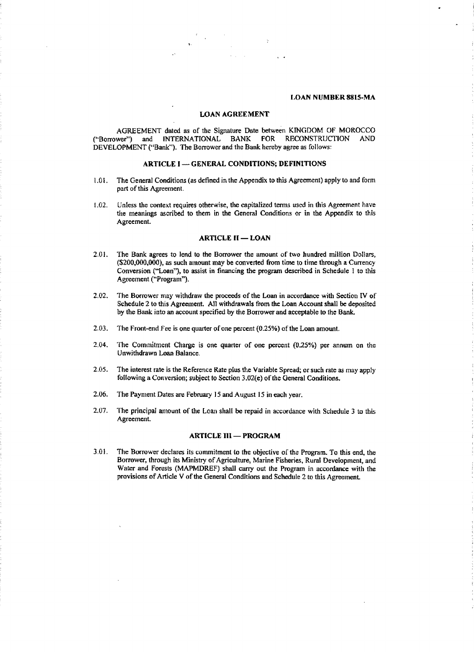#### **LOAN NUMBER 8815-MA**

#### **LOAN AGREEMENT**

**AGREEMENT** dated as of the Signature Date between KINGDOM OF MOROCCO ("Borrower") and **INTERNATIONAL** BANK FOR **RECONSTRUCTION AND DEVELOPMENT** ("Bank"). The Borrower and the Bank hereby agree as follows:

#### ARTICLE **I - GENERAL** CONDITIONS; **DEFINITIONS**

- **1.01.** The General Conditions (as defined in the Appendix to this Agreement) apply to and form part of this Agreement.
- 1.02. Unless the context requires otherwise, the capitalized terms **used** in this Agreement have the meanings ascribed to them in the General Conditions or in the Appendix to this Agreement.

#### ARTICLE **II - LOAN**

- 2.01. The Bank agrees to lend to the Borrower the amount of two hundred million Dollars, (\$200,000,000), as such amount may be converted from time to time through a Currency Conversion ("Loan"), to assist in financing the program described in Schedule **I** to this Agreement ("Program").
- 2.02. The Borrower may withdraw the proceeds of the Loan in accordance with Section IV of Schedule 2 to this Agreement. **All** withdrawals from the Loan Account shall be deposited **by** the Bank into an account specified **by** the Borrower and acceptable to the Bank.
- **2.03.** The Front-end Fee is one quarter of one percent **(0.25%)** of the Loan amount.
- 2.04. The Commitment Charge is one quarter of one percent (0.25%) per annum on the Unwithdrawn Loan Balance.
- **2.05.** The interest rate is the Reference Rate plus the Variable Spread; or such rate as may apply following a Conversion; subject to Section 3.02(e) of the General Conditions.
- **2.06.** The Payment Dates are February **15** and August **15** in each year.
- **2.07.** The principal amount of the Loan shall be repaid in accordance with Schedule **3** to this Agreement.

#### **ARTICLE III - PROGRAM**

**3.01.** The Borrower declares its commitment to the objective of the Program. To this end, the Borrower, through its Ministry of Agriculture, Marine Fisheries, Rural Development, and Water and Forests (MAPMDREF) shall carry out the Program in accordance with the provisions of Article V of the General Conditions and Schedule 2 to this Agreement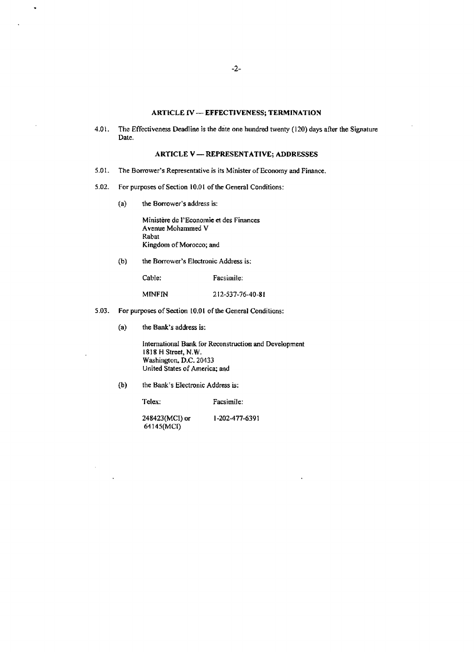# **ARTICLE IV - EFFECTIVENESS; TERMINATION**

4.01. The Effectiveness Deadline is the date **one hundred twenty (120) days after** the Signature Date.

#### ARTICLE V **-** REPRESENTATIVE; **ADDRESSES**

- **5.01.** The Borrower's Representative is its Minister of Economy and Finance.
- 5.02. For purposes of Section **10.01** of the General Conditions:
	- (a) the Borrower's address is:

 $\ddot{\phantom{0}}$ 

Ministere **de** l'Economic et des Finances Avenue Mohammed V Rabat Kingdom of Morocco; and

**(b)** the Borrower's Electronic Address is:

Cable: Facsimile:

MINFIN **212-537-76-40-81**

- **5.03.** For purposes of Section 10.01 of the General Conditions:
	- (a) the Bank's address is:

International Bank for Reconstruction and Development **1818** H Street, N.W. Washington. **D.C.** 20433 United States of America; and

**(b)** the Bank's Electronic Address is;

Telex: Facsimile:

248423(MCI) or **1-202-477-6391** 64145(MCI)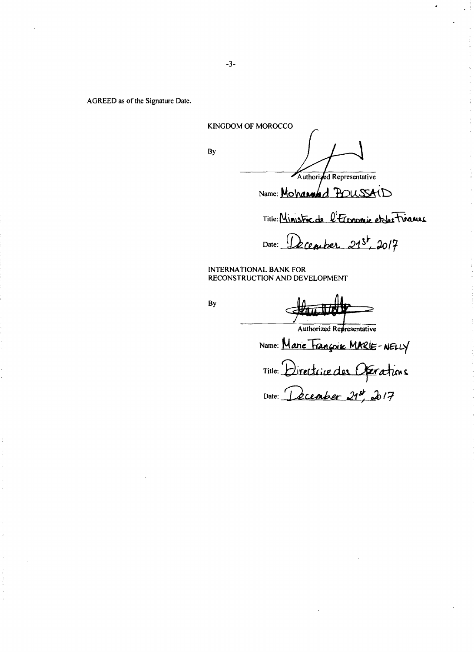AGREED as of the Signature Date.

**KINGDOM** OF MOROCCO By Authorized Representative

Name: Mohanned Boussais

Title: Ministre de l'Economic et des Timenus

Date: December 21st, 2017

**INTERNATIONAL** BANK FOR **RECONSTRUCTION AND DEVELOPMENT**

By

Authorized Representative Name: *Marie Trançois MARIE-NELLY* Title: <u>Urectrice</u> des Date: *<u>ecember 21,</u>*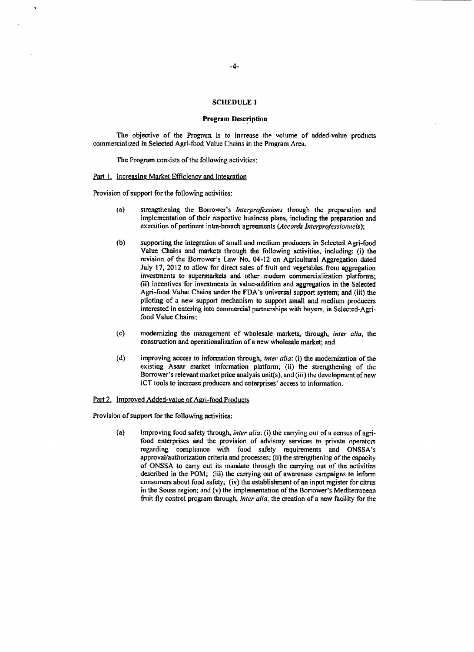#### **SCHEDULE** I

#### Program Description

The objective of the Program is to increase the volume of added-value products commercialized in Selected Agri-food Value Chains in the Program Area.

The Program consists of the following activities:

#### Part **I**. Increasing Market Efficiency and Integration

Provision of support for the following activities:

- (a) strengthening the Borrower's *Interprofessions* through the preparation and implementation of their respective business plans, including the preparation and execution of pertinent intra-branch agreements (Accords *Interprofessionnels);*
- **(b)** supporting the integration of small and medium producers in Selected Agri-food Value Chains and markets through the following activities, including: (i) the revision of the Borrower's Law No. 04-12 on Agricultural Aggregation dated July **17,** 2012 to allow for direct sales of fruit and vegetables from aggregation investments to supermarkets and other modern commercialization platforms; (ii) incentives for investments in value-addition and aggregation in the Selected Agri-food Value Chains under the FDA's universal support system; and (iii) the piloting of a new support mechanism to support small and medium producers interested in entering into commercial partnerships with buyers, in Selected-Agrifood Value Chains;
- (c) modernizing the management of wholesale markets, through, *inter alia,* the construction and operationalization of a new wholesale market; and
- **(d)** improving access to information through, *inter alia:* (i) the modernization of the existing Asaar market information platform; (ii) the strengthening of the Borrower's relevant market price analysis unit(s), and (iii) the development of new **ICT** tools to increase producers and enterprises' access to information.

#### Part 2. Improved Added-value of Agri-food Products

Provision of support for the following activities:

(a) Improving food safety through, *inter alia:* (i) the carrying out of a census of agrifood enterprises and the provision of advisory services to private operators regarding compliance with food safety requirements and ONSSA's approval/authorization criteria and processes; (ii) the strengthening of the capacity of **ONSSA** to carry out its mandate through the carrying out of the activities described in the POM; (iii) the carrying out of awareness campaigns to inform consumers about food safety; (iv) the establishment of an input register for citrus in the Souss region; and (v) the implementation of the Borrower's Mediterranean fruit **fly** control program through, *inter alia,* the creation of a new facility for the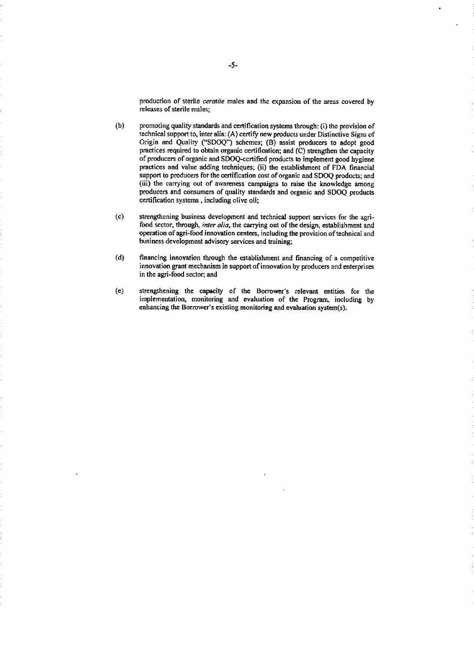production of sterile ceratile males and the expansion of the areas covered **by** releases of sterile males;

- **(b)** promoting quality standards and certification systems through: (i) the provision of technical support to, inter alia: **(A)** certify new products under Distinctive Signs of Origin and Quality **("SDOQ")** schemes; (B) assist producers to adopt good practices required to obtain organic certification; and **(C)** strengthen the capacity of producers of organic and SDOQ-certified products to implement good hygiene practices and value adding techniques; (ii) the establishment of **FDA** financial support to producers for the certification cost of organic and **SDOQ** products; and (iii) the carrying out of awareness campaigns to raise the knowledge among producers and consumers of quality standards and organic and **SDOQ** products certification systems **,** including olive oil;
- **(c)** strengthening business development and technical support services for the agrifood sector, through, inter *alia,* the carrying out of the design, establishment and operation of agri-food innovation centers, including the provision of technical and business development advisory services and training;
- **(d)** financing innovation through the establishment and financing of a competitive innovation grant mechanism in support of innovation **by** producers and enterprises in the agri-food sector; and
- **(e)** strengthening the capacity **of** the Borrower's relevant entities for the implementation, monitoring and evaluation of the Program, including **by** enhancing the Borrower's existing monitoring and evaluation system(s).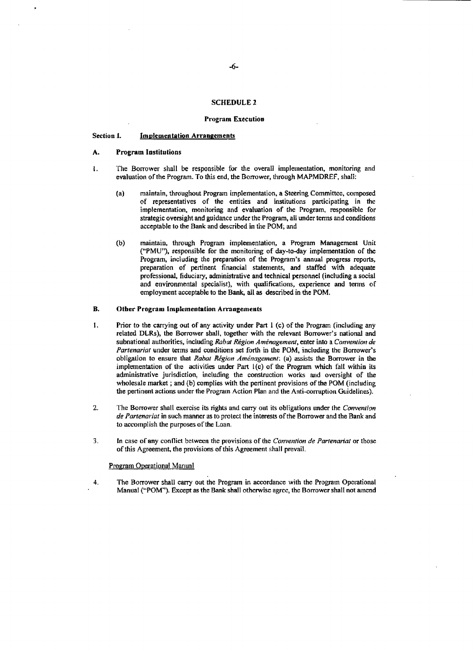#### **SCHEDULE** 2

#### Program **Execution**

#### Section **1.** Implementation Arrangements

#### **A.** Program Institutions

- **1.** The Borrower shall be responsible for the overall implementation, monitoring and evaluation of the Program. To this end, the Borrower, through MAPMDREF, shall:
	- (a) maintain, throughout Program implementation, a Steering Committee, composed of representatives of the entities and institutions participating in the implementation, monitoring and evaluation of the Program, responsible for strategic oversight and guidance under the Program, all under terms and conditions acceptable to the Bank and described in the POM; and
	- **(b)** maintain, through Program implementation, a Program Management Unit **("PMU"),** responsible for the monitoring of day-to-day implementation of the Program, including the preparation of the Program's annual progress reports, preparation of pertinent financial statements, and staffed with adequate professional, fiduciary, administrative and technical personnel (including a social and environmental specialist), with qualifications, experience and terms of employment acceptable to the Bank, all as described in the POM.

#### **B.** Other Program Implementation Arrangements

- 1 **.** Prior to the carrying out of any activity under Part **I** (c) of the Program (including any related DLRs), the Borrower shall, together with the relevant Borrower's national and subnational authorities, including *Rabat Région Aménagement*, enter into a *Convention de Partenariat* under terms and conditions set forth in the POM, including the Borrower's obligation to ensure that *Rabat Rigion Amenagement: (a)* assists the Borrower in the implementation **of** the activities under Part 1(c) of the Program which fall within its administrative jurisdiction, including the construction works and oversight of the wholesale market *;* and **(b)** complies with the pertinent provisions of the POM (including the pertinent actions under the Program Action Plan and the Anti-corruption Guidelines).
- 2. The Borrower shall exercise its rights and carry out its obligations under the *Convention de Partenariat* in such manner as to protect the interests of the Borrower and the Bank and to accomplish the purposes of the Loan.
- *3.* In case of any conflict between the provisions of the *Convenrion de Parrenarial* or those of this Agreement, the provisions of this Agreement shall prevail.

## Program Operational Manual

4. The Borrower shall carry out the Program in accordance with the Program Operational Manual **("POM"). Except** as the Bank shall otherwise agree, the Borrower shall not amend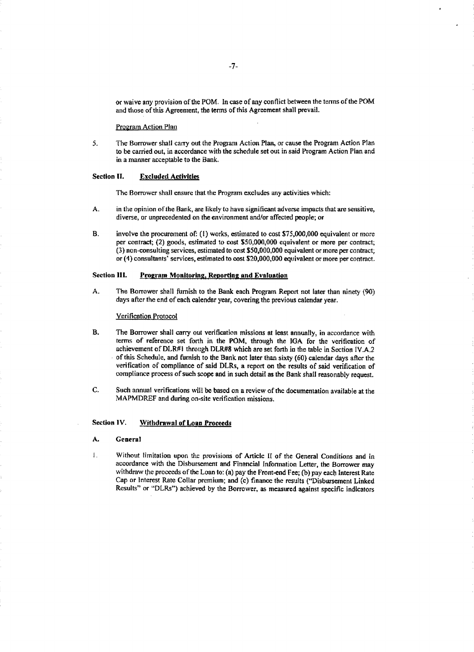or waive any provision of the POM. In case of any conflict between the terms of the POM and those of this Agreement, the terms of this Agreement shall prevail.

#### Program Action Plan

**5.** The Borrower shall carry out the Program Action Plan, or cause the Program Action Plan to be carried out, in accordance with the schedule set out in said Program Action Plan and in a manner acceptable to the Bank.

#### Section **II.** Excluded Activities

The Borrower shall ensure that the Program excludes any activities which:

- **A-** in the opinion of the Bank, are likely to have significant adverse impacts that are sensitive, diverse, or unprecedented on the environment and/or affected people; or
- B. involve the procurement of: **(1)** works, estimated to cost **\$75,000,000** equivalent or more per contract; (2) goods, estimated to cost **\$50,000,000** equivalent or more per contract; **(3)** non-consulting services, estimated to cost **\$50,000,000** equivalent or more per contract; or **(4)** consultants' services, estimated to cost \$20,000,000 equivalent or more per contract.

## Section **111. Program Monitoring, Reporting** and Evaluation

A. The Borrower shall furnish to the Bank each Program Report not later than ninety **(90)** days after the end of each calendar year, covering the previous calendar year.

Verification Protocol

- B. The Borrower shall carry out verification missions at least annually, in accordance with terms of reference set forth in the POM, through the **IGA** for the verification of achievement **of** DLR#1 through DLR#8 which are set forth in the table in Section IV-A.2 of this Schedule, and furnish to the Bank not later than sixty **(60)** calendar days after the verification of compliance of said DLRs, a report on the results of said verification of compliance process of such scope and in such detail as the Bank shall reasonably request.
- **C.** Such annual verifications will be based on a review **of** the documentation available at the MAPMDREF and during on-site verification missions.

# **Section IV. Withdrawal of Loan Proceeds**

- **A. General**
- 1. Without limitation upon the provisions of Article **II** of the General Conditions and in accordance with the Disbursement and Financial Information Letter, the Borrower may withdraw the proceeds of the Loan to: (a) pay the Front-end Fee; **(b)** pay each Interest Rate Cap or Interest Rate Collar premium; and (c) finance the results ("Disbursement Linked Results" or "DLRs") achieved **by** the Borrower, as measured against specific indicators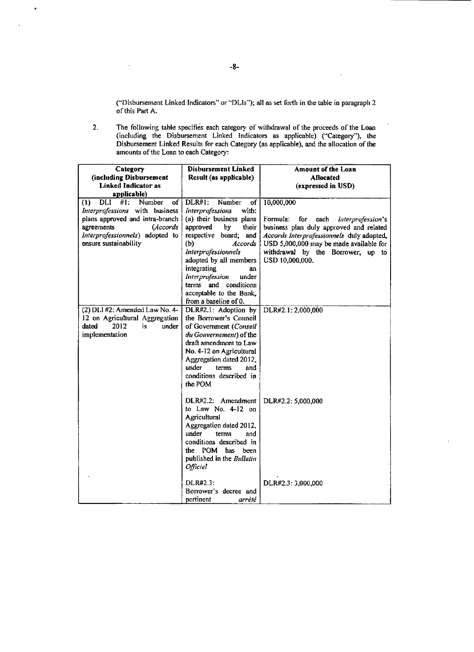("Disbursement Linked Indicators" or "DLIs"); all as set forth in the table in paragraph 2 of this Part *A.*

 $\overline{\phantom{a}}$ 

2. The following table specifies each category of withdrawal of the proceeds of the Loan (including the Disbursement Linked Indicators as applicable) ("Category"), the Disbursement Linked Results for each Category (as applicable), and the allocation **of** the amounts of the Loan to each Category

| Category                                                    | Disbursement Linked        | Amount of the Loan                           |
|-------------------------------------------------------------|----------------------------|----------------------------------------------|
| (including Disbursement                                     | Result (as applicable)     | <b>Allocated</b>                             |
| <b>Linked Indicator as</b>                                  |                            | (expressed in USD)                           |
| applicable)                                                 |                            |                                              |
| DLI<br>#1:<br>Number<br>of <sub>1</sub><br>$\left(1\right)$ | $DLR#1$ :<br>Number<br>of  | 10,000,000                                   |
| Interprofessions with business                              | Interprofessions<br>with:  |                                              |
| plans approved and intra-branch                             | (a) their business plans   | Formula:<br>for<br>each<br>Interprofession's |
| agreements<br>(Accords                                      | approved<br>by<br>their    | business plan duly approved and related      |
| Interprofessionnels) adopted to                             | respective board; and      | Accords Interprofessionnels duly adopted,    |
| ensure sustainability                                       | (b)<br>Accords             | USD 5,000,000 may be made available for      |
|                                                             | <b>Interprofessionnels</b> | withdrawal by the Borrower, up to            |
|                                                             | adopted by all members     | USD 10,000,000.                              |
|                                                             | integrating<br>an          |                                              |
|                                                             | Interprofession<br>under   |                                              |
|                                                             | terms and conditions       |                                              |
|                                                             | acceptable to the Bank,    |                                              |
|                                                             | from a baseline of 0.      |                                              |
| (2) DLI #2: Amended Law No. 4-                              | DLR#2.1: Adoption by       | DLR#2.1: 2,000,000                           |
| 12 on Agricultural Aggregation                              | the Borrower's Council     |                                              |
| 2012<br>is.<br>under<br>dated                               | of Government (Conseil     |                                              |
| implementation                                              | du Gouvernement) of the    |                                              |
|                                                             | draft amendment to Law     |                                              |
|                                                             | No. 4-12 on Agricultural   |                                              |
|                                                             | Aggregation dated 2012,    |                                              |
|                                                             | under<br>terms<br>and      |                                              |
|                                                             | conditions described in    |                                              |
|                                                             | the POM                    |                                              |
|                                                             |                            |                                              |
|                                                             | DLR#2.2: Amendment         | DLR#2.2: 5,000,000                           |
|                                                             | to Law No. $4-12$ on       |                                              |
|                                                             | Agricultural               |                                              |
|                                                             | Aggregation dated 2012,    |                                              |
|                                                             | under<br>terms<br>and      |                                              |
|                                                             | conditions described in    |                                              |
|                                                             | the POM has<br>been        |                                              |
|                                                             | published in the Bulletin  |                                              |
|                                                             | <b>Officiel</b>            |                                              |
|                                                             |                            |                                              |
|                                                             | DLR#2.3:                   | DLR#2.3: 3,000,000                           |
|                                                             | Borrower's decree and      |                                              |
|                                                             | pertinent<br>arrêté        |                                              |

 $\bullet$ 

l,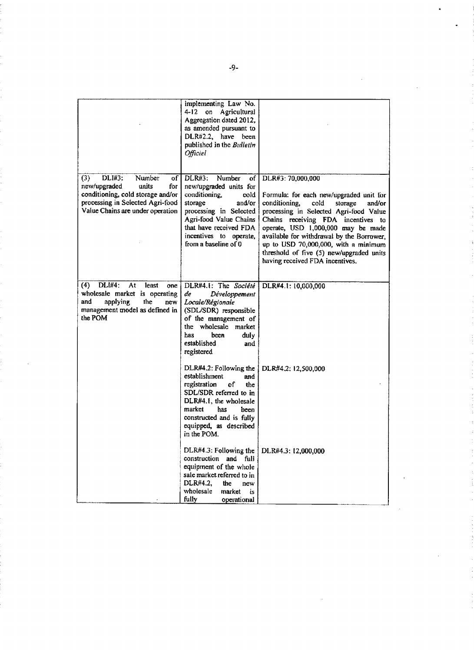|                                                                                                                                                                            | implementing Law No.<br>4-12 on Agricultural<br>Aggregation dated 2012,<br>as amended pursuant to<br>DLR#2.2, have been<br>published in the Bulletin<br><b>Officiel</b>                                                        |                                                                                                                                                                                                                                                                                                                                                                                                         |
|----------------------------------------------------------------------------------------------------------------------------------------------------------------------------|--------------------------------------------------------------------------------------------------------------------------------------------------------------------------------------------------------------------------------|---------------------------------------------------------------------------------------------------------------------------------------------------------------------------------------------------------------------------------------------------------------------------------------------------------------------------------------------------------------------------------------------------------|
| DLI#3:<br>(3)<br>Number<br>of<br>new/upgraded<br>units<br>for<br>conditioning, cold storage and/or<br>processing in Selected Agri-food<br>Value Chains are under operation | Number<br>DLR#3:<br>of<br>new/upgraded units for<br>conditioning.<br>cold<br>storage<br>and/or<br>processing in Selected<br>Agri-food Value Chains<br>that have received FDA<br>incentives to operate,<br>from a baseline of 0 | DLR#3: 70,000,000<br>Formula: for each new/upgraded unit for<br>conditioning,<br>cold<br>storage<br>and/or<br>processing in Selected Agri-food Value<br>Chains receiving FDA incentives<br>to<br>operate, USD 1,000,000 may be made<br>available for withdrawal by the Borrower,<br>up to USD 70,000,000, with a minimum<br>threshold of five (5) new/upgraded units<br>having received FDA incentives. |
| <b>DLI#4:</b><br>(4)<br>At<br>least<br>one<br>wholesale market is operating<br>the<br>and<br>applying<br>new<br>management model as defined in<br>the POM                  | DLR#4.1: The Société<br>de<br>Développement<br>Locale/Régionale<br>(SDL/SDR) responsible<br>of the management of<br>the wholesale market<br>has<br>been<br>duly<br>established<br>and<br>registered                            | DLR#4.1: 10,000,000                                                                                                                                                                                                                                                                                                                                                                                     |
|                                                                                                                                                                            | DLR#4.2: Following the<br>establishment<br>and<br>registration<br>٥f<br>the<br>SDL/SDR referred to in<br>DLR#4.1, the wholesale<br>market<br>has<br>been<br>constructed and is fully<br>equipped, as described<br>in the POM.  | DLR#4.2: 12,500,000                                                                                                                                                                                                                                                                                                                                                                                     |
|                                                                                                                                                                            | DLR#4.3: Following the<br>construction and full<br>equipment of the whole<br>sale market referred to in<br>DLR#4.2.<br>the<br>new<br>wholesale<br>market<br>is<br>fully<br>operational                                         | DLR#4.3: 12,000,000                                                                                                                                                                                                                                                                                                                                                                                     |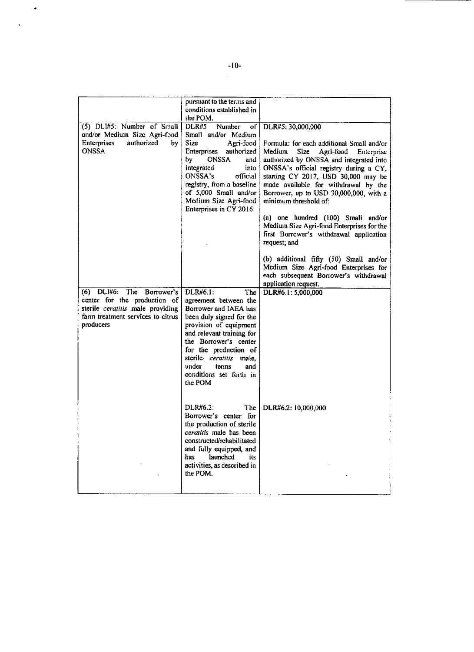|                                                                                                                      | pursuant to the terms and<br>conditions established in                                                                                                                                                                                                                                            |                                                                                                                                                                                                                                                                                                                                                                                                                                                                                         |
|----------------------------------------------------------------------------------------------------------------------|---------------------------------------------------------------------------------------------------------------------------------------------------------------------------------------------------------------------------------------------------------------------------------------------------|-----------------------------------------------------------------------------------------------------------------------------------------------------------------------------------------------------------------------------------------------------------------------------------------------------------------------------------------------------------------------------------------------------------------------------------------------------------------------------------------|
| (5) DLI#5: Number of Small<br>and/or Medium Size Agri-food<br>authorized<br><b>Enterprises</b><br>by<br><b>ONSSA</b> | the POM.<br>DLR#5<br>Number<br>of<br>Small and/or Medium<br>Size<br>Agri-food<br>Enterprises authorized<br><b>ONSSA</b><br>bу<br>and<br>integrated<br>into<br><b>ONSSA's</b><br>official<br>registry, from a baseline<br>of 5,000 Small and/or<br>Medium Size Agri-food<br>Enterprises in CY 2016 | DLR#5: 30,000,000<br>Formula: for each additional Small and/or<br>Medium<br><b>Size</b><br>Agri-food<br>Enterprise<br>authorized by ONSSA and integrated into<br>ONSSA's official registry during a CY,<br>starting CY 2017, USD 30,000 may be<br>made available for withdrawal by the<br>Borrower, up to USD 30,000,000, with a<br>minimum threshold of:<br>(a) one hundred (100) Small and/or<br>Medium Size Agri-food Enterprises for the<br>first Borrower's withdrawal application |
| (6) DLI#6: The Borrower's                                                                                            | DLR#6.1:<br>The                                                                                                                                                                                                                                                                                   | request; and<br>(b) additional fifty (50) Small and/or<br>Medium Size Agri-food Enterprises for<br>each subsequent Borrower's withdrawal<br>application request.<br>DLR#6.1: 5,000,000                                                                                                                                                                                                                                                                                                  |
| center for the production of<br>sterile ceratitis male providing<br>farm treatment services to citrus<br>producers   | agreement between the<br>Borrower and IAEA has<br>been duly signed for the<br>provision of equipment<br>and relevant training for<br>the Borrower's center<br>for the production of<br>sterile ceratitis male.<br>under<br>terins<br>and<br>conditions set forth in<br>the POM                    |                                                                                                                                                                                                                                                                                                                                                                                                                                                                                         |
|                                                                                                                      | DLR#6.2:<br>The<br>Borrower's center for<br>the production of sterile<br>ceratitis male has been<br>constructed/rehabilitated<br>and fully equipped, and<br>launched<br>has<br>its<br>activities, as described in<br>the POM.                                                                     | DLR#6.2: 10,000,000                                                                                                                                                                                                                                                                                                                                                                                                                                                                     |

 $\hat{\mathcal{L}}$ 

 $\bullet$ 

 $\ddot{\phantom{a}}$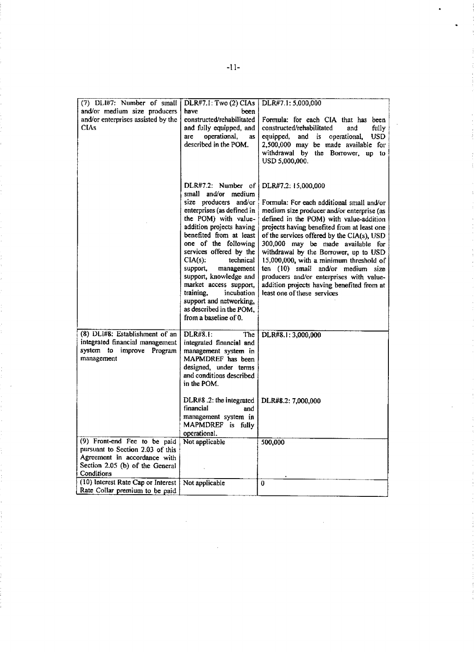| (7) DLI#7: Number of small         | DLR#7.1: Two (2) CIAs                               | DLR#7.1: 5,000,000                                |
|------------------------------------|-----------------------------------------------------|---------------------------------------------------|
| and/or medium size producers       | have<br>been                                        |                                                   |
| and/or enterprises assisted by the | constructed/rehabilitated                           | Formula: for each CIA that has been               |
| <b>CIAs</b>                        | and fully equipped, and                             | constructed/rehabilitated<br>and<br>fully         |
|                                    | operational,<br>are<br>as                           | equipped,<br>and is<br>operational,<br><b>USD</b> |
|                                    | described in the POM.                               | 2,500,000 may be made available for               |
|                                    |                                                     | withdrawal by the Borrower, up to                 |
|                                    |                                                     | USD 5,000,000.                                    |
|                                    |                                                     |                                                   |
|                                    |                                                     |                                                   |
|                                    | $DLR#7.2$ : Number of                               | DLR#7.2: 15,000,000                               |
|                                    | small and/or medium                                 |                                                   |
|                                    | size producers and/or                               | Formula: For each additional small and/or         |
|                                    | enterprises (as defined in                          | medium size producer and/or enterprise (as        |
|                                    | the POM) with value-                                | defined in the POM) with value-addition           |
|                                    | addition projects having                            | projects having benefited from at least one       |
|                                    | benefited from at least                             | of the services offered by the CIA(s), USD        |
|                                    | one of the following                                | 300,000 may be made available for                 |
|                                    | services offered by the                             | withdrawal by the Borrower, up to USD             |
|                                    | technical<br>$CIA(s)$ :                             | 15,000,000, with a minimum threshold of           |
|                                    | support,<br>management                              | ten (10) small and/or medium size                 |
|                                    | support, knowledge and                              | producers and/or enterprises with value-          |
|                                    | market access support,                              | addition projects having benefited from at        |
|                                    | training,<br>incubation                             | least one of these services                       |
|                                    | support and networking,<br>as described in the POM, |                                                   |
|                                    | from a baseline of 0.                               |                                                   |
|                                    |                                                     |                                                   |
| (8) DLI#8: Establishment of an     | <b>DLR#8.1:</b><br>The                              | DLR#8.1: 3,000,000                                |
| integrated financial management    | integrated financial and                            |                                                   |
| system to improve Program          | management system in                                |                                                   |
| management                         | MAPMDREF has been                                   |                                                   |
|                                    | designed, under terms                               |                                                   |
|                                    | and conditions described                            |                                                   |
|                                    | in the POM.                                         |                                                   |
|                                    |                                                     |                                                   |
|                                    | DLR#8.2: the integrated                             | DLR#8.2: 7,000,000                                |
|                                    | financial<br>and                                    |                                                   |
|                                    | management system in                                |                                                   |
|                                    | MAPMDREF is fully<br>operational.                   |                                                   |
| (9) Front-end Fee to be paid       | Not applicable                                      | 500,000                                           |
| pursuant to Section 2.03 of this   |                                                     |                                                   |
| Agreement in accordance with       |                                                     |                                                   |
| Section 2.05 (b) of the General    |                                                     |                                                   |
| Conditions                         |                                                     |                                                   |
| (10) Interest Rate Cap or Interest | Not applicable                                      | $\theta$                                          |
| Rate Collar premium to be paid     |                                                     |                                                   |

-11-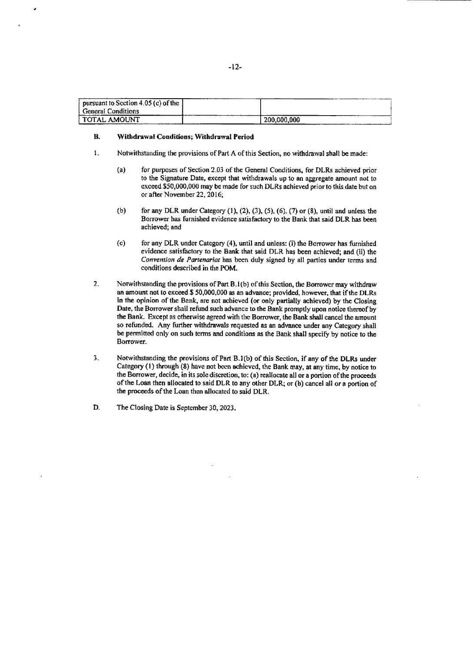| pursuant to Section 4.05 (c) of the $\parallel$ |             |
|-------------------------------------------------|-------------|
| <b>General Conditions</b>                       |             |
| l TOTAL AMOUNT                                  | 200.000.000 |

#### B. Withdrawal Conditions; Withdrawal Period

- **I.** Notwithstanding the provisions of Part **A** of this Section, no withdrawal shall be made:
	- (a) for purposes of Section **2.03** of the General Conditions, for DLRs achieved prior to the Signature Date, except that withdrawals up to an aggregate amount not to exceed **\$50,000,000** may be made for such DLRs achieved prior to this date but on or after November 22, **2016;**
	- **(b)** for any DLR under Category **(1),** (2), **(3), (5), (6), (7)** or **(8),** until and unless the Borrower has furnished evidence satisfactory to the Bank that said DLR has been achieved; and
	- **(c)** for any DLR under Category (4), until and unless: (i) the Borrower has furnished evidence satisfactory to the Bank that said DLR has been achieved; and (ii) the Convention *de* Parrenariat has been duly signed **by** all parties under terms and conditions described in the POM.
- 2. Notwithstanding the provisions of Part **B.1(b)** of this Section, the Borrower may withdraw an amount not to exceed **\$ 50,000,000** as an advance; provided, however, that **if** the DLRs in the opinion of the Bank, are not achieved (or only partialy achieved) **by** the Closing Date, the Borrower shall refund such advance to the Bank promptly upon notice thereof **by** the Bank. Except as otherwise agreed with the Borrower, the Bank shall cancel the amount **so** refunded. Any further withdrawals requested as an advance under any Category shall be permitted only on such terms and conditions as the Bank shall specify **by** notice to the Borrower.
- **3.** Notwithstanding the provisions of Part **B.I(b)** of this Section, if any **of** the DLRs under Category **(1)** through **(8)** have not been achieved, the Bank may, at any time, **by** notice to the Borrower, decide, in its sole discretion, to: (a) reallocate all or a portion of the proceeds of the Loan then allocated to said DLR to any other DLR, or (b) cancel all or a portion of the proceeds of the Loan then allocated to said DLR.
- **D.** The Closing Date is September **30, 2023.**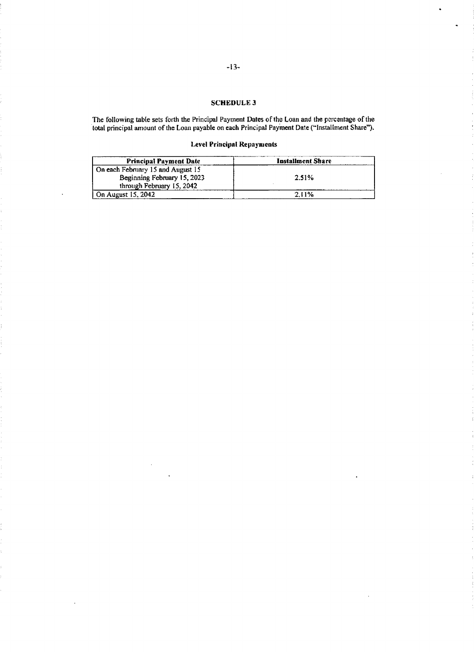# **SCHEDULE3**

The following table sets forth the Principal Payment Dates of the Loan and the percentage of the total principal amount of the Loan payable on each Principal Payment Date ("Installment Share").

# Level Principal Repayments

| <b>Principal Payment Date</b>     | Installment Share |
|-----------------------------------|-------------------|
| On each February 15 and August 15 |                   |
| Beginning February 15, 2023       | 2.51%             |
| through February 15, 2042         |                   |
| On August 15, 2042<br>.           | 2.11%             |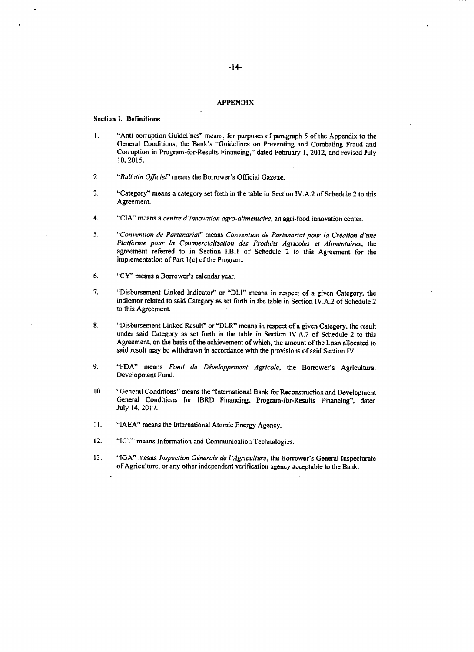#### **APPENDIX**

#### Section **I.** Definitions

- **1.** "Anti-corruption Guidelines" means, for purposes of paragraph **5** of the Appendix to the General Conditions, the Bank's "Guidelines on Preventing and Combating Fraud and Corruption in Program-for-Results Financing," dated February **1,** 2012, and revised July **10, 2015.**
- 2. "Bulletin *Of]iciel"* means the Borrower's Official Gazette.
- **3.** "Category" means a category set forth in the table in Section IV.A.2 of Schedule 2 to this Agreement.
- *4.* **"CIA"** means *a centre d'innovaton agro-alimentaire,* an agri-food innovation center-

5. "Convention **de** Partenariat" *means Convention* de *Partenariat* pour *la Criation* d'ne *Platforne po- la* Commercialization des. *Produits Agricoles et* Alimentaires, *the* agreement referred to in Section I-B.1 of Schedule 2 to this Agreement for the implementation of Part 1(c) of the Program.

- **6.** "CY" means a Borrower's calendar year.
- **7.** "Disbursement Linked Indicator" or "DLI" means in respect of a given Category, the indicator related to said Category as set forth in the table in Section IV.A.2 of Schedule 2 to this Agreement.
- **8.** "Disbursement Linked Result" or "DLR" means in respect of a given Category, the result under said Category as set forth in the table in Section IV\_A.2 of Schedule 2 to this Agreement, on the basis of the achievement of which, the amount of the Loan allocated to said result may be withdrawn in accordance with the provisions **of** said Section IV.
- **9. "FDA"** means *Fond de Diveloppeinent Agricole,* the Borrower's Agricultural Development Fund.
- **10.** "General Conditions" means the "International Bank for Reconstruction and Development General Conditions for IBRD Financing. Program-for-Results Financing", dated July 14, **2017.**
- **11. "IAEA"** means the International Atomic Energy Agency.
- 12. **"ICT"** means Information and Communication Technologies.
- 13. "IGA" means *Inspection Générale de l'Agriculture*, the Borrower's General Inspectorate of Agriculture, or any other independent verification agency acceptable to the Bank.